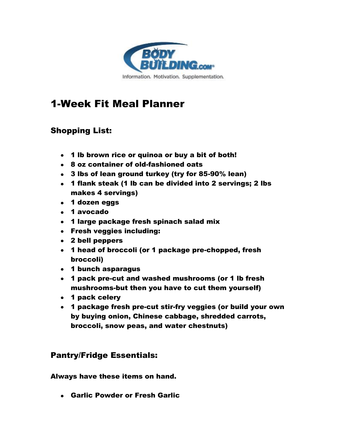

# 1-Week Fit Meal Planner

# Shopping List:

- 1 lb brown rice or quinoa or buy a bit of both!
- 8 oz container of old-fashioned oats
- 3 lbs of lean ground turkey (try for 85-90% lean)
- 1 flank steak (1 lb can be divided into 2 servings; 2 lbs makes 4 servings)
- 1 dozen eggs
- 1 avocado
- 1 large package fresh spinach salad mix
- Fresh veggies including:
- 2 bell peppers
- 1 head of broccoli (or 1 package pre-chopped, fresh broccoli)
- 1 bunch asparagus
- 1 pack pre-cut and washed mushrooms (or 1 lb fresh mushrooms-but then you have to cut them yourself)
- 1 pack celery
- 1 package fresh pre-cut stir-fry veggies (or build your own by buying onion, Chinese cabbage, shredded carrots, broccoli, snow peas, and water chestnuts)

# Pantry/Fridge Essentials:

Always have these items on hand.

Garlic Powder or Fresh Garlic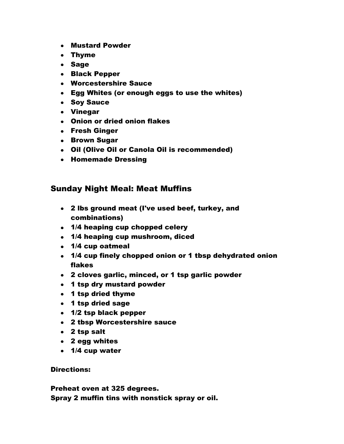- Mustard Powder
- Thyme
- Sage
- Black Pepper
- Worcestershire Sauce
- Egg Whites (or enough eggs to use the whites)
- Soy Sauce
- Vinegar
- Onion or dried onion flakes
- Fresh Ginger
- Brown Sugar
- Oil (Olive Oil or Canola Oil is recommended)
- **Homemade Dressing**

### Sunday Night Meal: Meat Muffins

- 2 lbs ground meat (I've used beef, turkey, and combinations)
- 1/4 heaping cup chopped celery
- 1/4 heaping cup mushroom, diced
- 1/4 cup oatmeal
- 1/4 cup finely chopped onion or 1 tbsp dehydrated onion flakes
- 2 cloves garlic, minced, or 1 tsp garlic powder
- 1 tsp dry mustard powder
- 1 tsp dried thyme
- 1 tsp dried sage
- 1/2 tsp black pepper
- 2 tbsp Worcestershire sauce
- 2 tsp salt
- 2 egg whites
- 1/4 cup water

Directions:

Preheat oven at 325 degrees. Spray 2 muffin tins with nonstick spray or oil.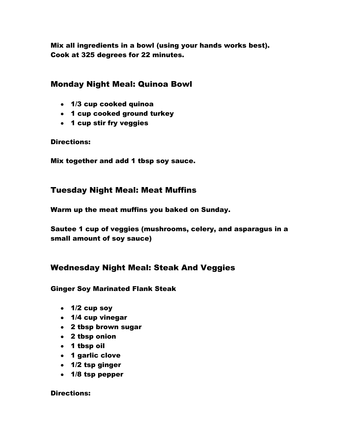Mix all ingredients in a bowl (using your hands works best). Cook at 325 degrees for 22 minutes.

## Monday Night Meal: Quinoa Bowl

- 1/3 cup cooked quinoa
- 1 cup cooked ground turkey
- 1 cup stir fry veggies

Directions:

Mix together and add 1 tbsp soy sauce.

## Tuesday Night Meal: Meat Muffins

Warm up the meat muffins you baked on Sunday.

Sautee 1 cup of veggies (mushrooms, celery, and asparagus in a small amount of soy sauce)

## Wednesday Night Meal: Steak And Veggies

### Ginger Soy Marinated Flank Steak

- $\cdot$  1/2 cup soy
- 1/4 cup vinegar
- 2 tbsp brown sugar
- 2 tbsp onion
- 1 tbsp oil
- 1 garlic clove
- 1/2 tsp ginger
- 1/8 tsp pepper

#### Directions: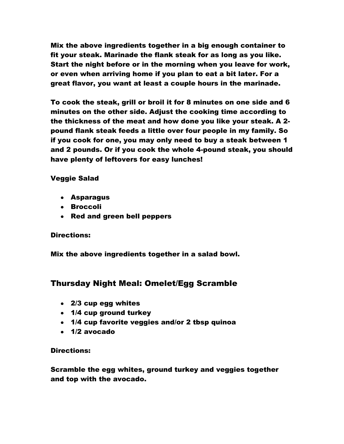Mix the above ingredients together in a big enough container to fit your steak. Marinade the flank steak for as long as you like. Start the night before or in the morning when you leave for work, or even when arriving home if you plan to eat a bit later. For a great flavor, you want at least a couple hours in the marinade.

To cook the steak, grill or broil it for 8 minutes on one side and 6 minutes on the other side. Adjust the cooking time according to the thickness of the meat and how done you like your steak. A 2 pound flank steak feeds a little over four people in my family. So if you cook for one, you may only need to buy a steak between 1 and 2 pounds. Or if you cook the whole 4-pound steak, you should have plenty of leftovers for easy lunches!

### Veggie Salad

- Asparagus
- Broccoli
- Red and green bell peppers

#### Directions:

Mix the above ingredients together in a salad bowl.

## Thursday Night Meal: Omelet/Egg Scramble

- 2/3 cup egg whites
- 1/4 cup ground turkey
- 1/4 cup favorite veggies and/or 2 tbsp quinoa
- 1/2 avocado

#### Directions:

Scramble the egg whites, ground turkey and veggies together and top with the avocado.